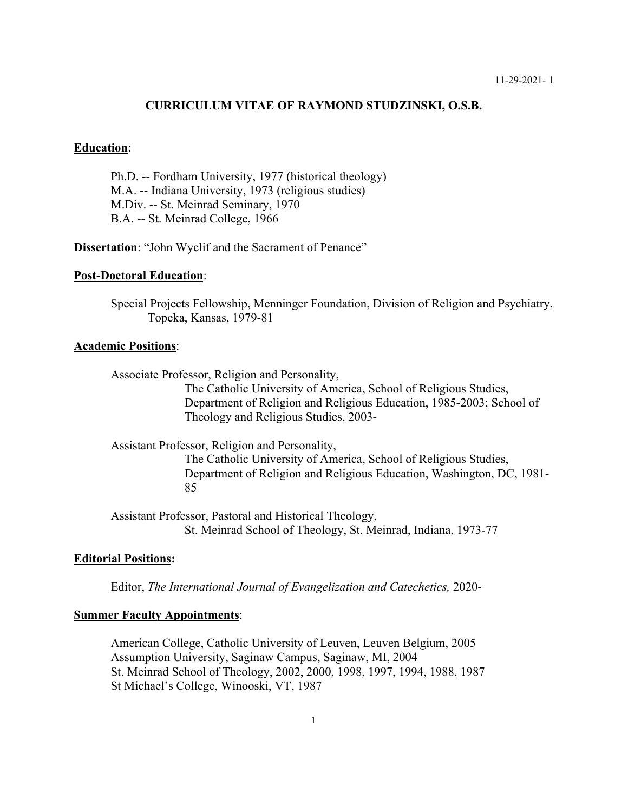#### **CURRICULUM VITAE OF RAYMOND STUDZINSKI, O.S.B.**

## **Education**:

Ph.D. -- Fordham University, 1977 (historical theology) M.A. -- Indiana University, 1973 (religious studies) M.Div. -- St. Meinrad Seminary, 1970 B.A. -- St. Meinrad College, 1966

**Dissertation**: "John Wyclif and the Sacrament of Penance"

### **Post-Doctoral Education**:

Special Projects Fellowship, Menninger Foundation, Division of Religion and Psychiatry, Topeka, Kansas, 1979-81

# **Academic Positions**:

Associate Professor, Religion and Personality,

The Catholic University of America, School of Religious Studies, Department of Religion and Religious Education, 1985-2003; School of Theology and Religious Studies, 2003-

Assistant Professor, Religion and Personality,

The Catholic University of America, School of Religious Studies, Department of Religion and Religious Education, Washington, DC, 1981- 85

Assistant Professor, Pastoral and Historical Theology, St. Meinrad School of Theology, St. Meinrad, Indiana, 1973-77

### **Editorial Positions:**

Editor, *The International Journal of Evangelization and Catechetics,* 2020-

## **Summer Faculty Appointments**:

American College, Catholic University of Leuven, Leuven Belgium, 2005 Assumption University, Saginaw Campus, Saginaw, MI, 2004 St. Meinrad School of Theology, 2002, 2000, 1998, 1997, 1994, 1988, 1987 St Michael's College, Winooski, VT, 1987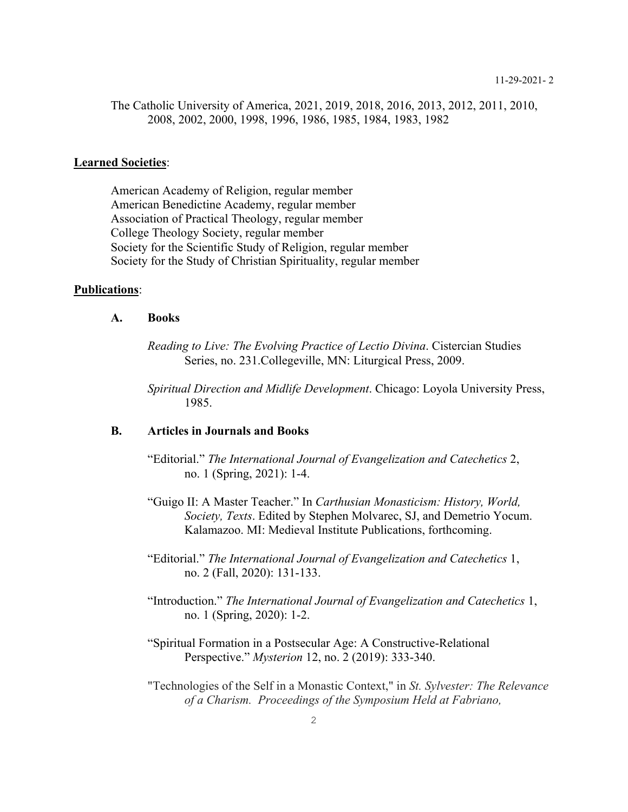The Catholic University of America, 2021, 2019, 2018, 2016, 2013, 2012, 2011, 2010, 2008, 2002, 2000, 1998, 1996, 1986, 1985, 1984, 1983, 1982

#### **Learned Societies**:

American Academy of Religion, regular member American Benedictine Academy, regular member Association of Practical Theology, regular member College Theology Society, regular member Society for the Scientific Study of Religion, regular member Society for the Study of Christian Spirituality, regular member

# **Publications**:

# **A. Books**

*Reading to Live: The Evolving Practice of Lectio Divina*. Cistercian Studies Series, no. 231.Collegeville, MN: Liturgical Press, 2009.

*Spiritual Direction and Midlife Development*. Chicago: Loyola University Press, 1985.

# **B. Articles in Journals and Books**

"Editorial." *The International Journal of Evangelization and Catechetics* 2, no. 1 (Spring, 2021): 1-4.

"Guigo II: A Master Teacher." In *Carthusian Monasticism: History, World, Society, Texts*. Edited by Stephen Molvarec, SJ, and Demetrio Yocum. Kalamazoo. MI: Medieval Institute Publications, forthcoming.

"Editorial." *The International Journal of Evangelization and Catechetics* 1, no. 2 (Fall, 2020): 131-133.

- "Introduction." *The International Journal of Evangelization and Catechetics* 1, no. 1 (Spring, 2020): 1-2.
- "Spiritual Formation in a Postsecular Age: A Constructive-Relational Perspective." *Mysterion* 12, no. 2 (2019): 333-340.
- "Technologies of the Self in a Monastic Context," in *St. Sylvester: The Relevance of a Charism. Proceedings of the Symposium Held at Fabriano,*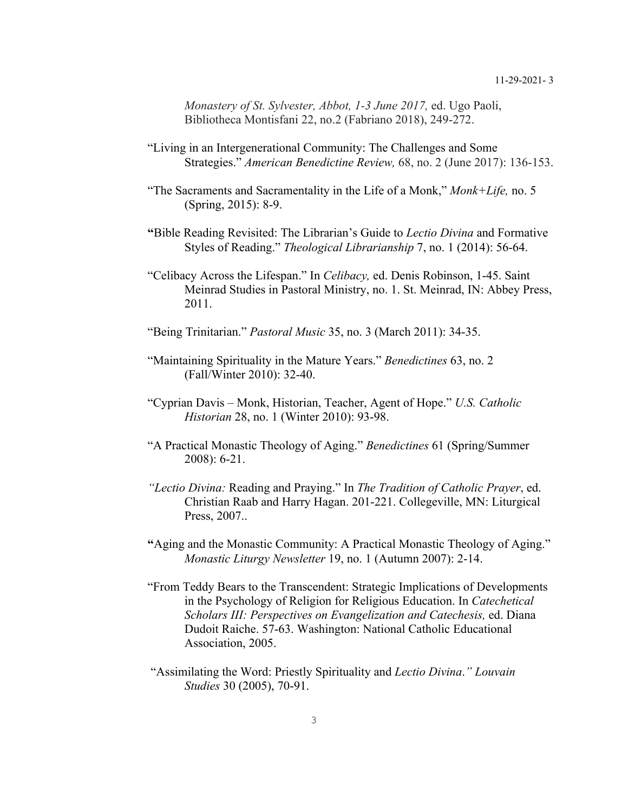*Monastery of St. Sylvester, Abbot, 1-3 June 2017,* ed. Ugo Paoli, Bibliotheca Montisfani 22, no.2 (Fabriano 2018), 249-272.

- "Living in an Intergenerational Community: The Challenges and Some Strategies." *American Benedictine Review,* 68, no. 2 (June 2017): 136-153.
- "The Sacraments and Sacramentality in the Life of a Monk," *Monk+Life,* no. 5 (Spring, 2015): 8-9.
- **"**Bible Reading Revisited: The Librarian's Guide to *Lectio Divina* and Formative Styles of Reading." *Theological Librarianship* 7, no. 1 (2014): 56-64.
- "Celibacy Across the Lifespan." In *Celibacy,* ed. Denis Robinson, 1-45. Saint Meinrad Studies in Pastoral Ministry, no. 1. St. Meinrad, IN: Abbey Press, 2011.
- "Being Trinitarian." *Pastoral Music* 35, no. 3 (March 2011): 34-35.
- "Maintaining Spirituality in the Mature Years." *Benedictines* 63, no. 2 (Fall/Winter 2010): 32-40.
- "Cyprian Davis Monk, Historian, Teacher, Agent of Hope." *U.S. Catholic Historian* 28, no. 1 (Winter 2010): 93-98.
- "A Practical Monastic Theology of Aging." *Benedictines* 61 (Spring/Summer 2008): 6-21.
- *"Lectio Divina:* Reading and Praying." In *The Tradition of Catholic Prayer*, ed. Christian Raab and Harry Hagan. 201-221. Collegeville, MN: Liturgical Press, 2007..
- **"**Aging and the Monastic Community: A Practical Monastic Theology of Aging." *Monastic Liturgy Newsletter* 19, no. 1 (Autumn 2007): 2-14.
- "From Teddy Bears to the Transcendent: Strategic Implications of Developments in the Psychology of Religion for Religious Education. In *Catechetical Scholars III: Perspectives on Evangelization and Catechesis,* ed. Diana Dudoit Raiche. 57-63. Washington: National Catholic Educational Association, 2005.
- "Assimilating the Word: Priestly Spirituality and *Lectio Divina*.*" Louvain Studies* 30 (2005), 70-91.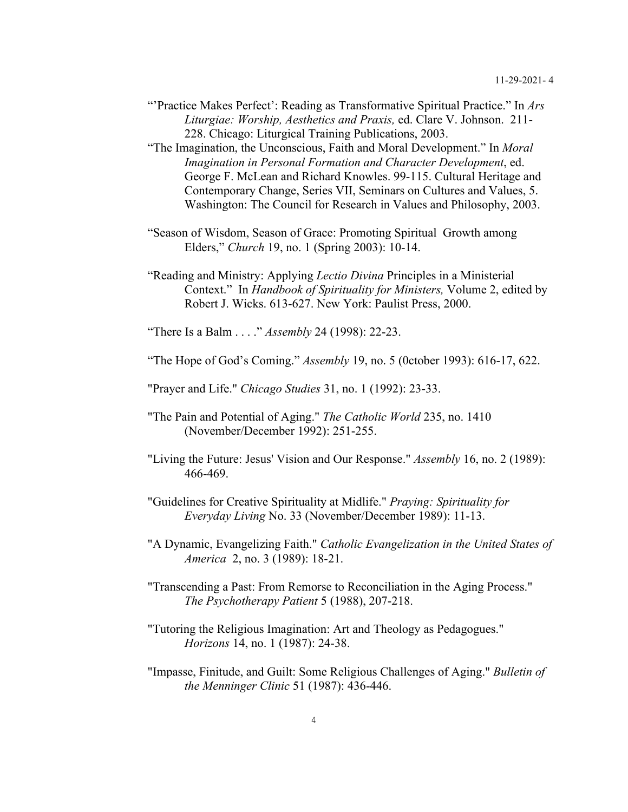- "'Practice Makes Perfect': Reading as Transformative Spiritual Practice." In *Ars Liturgiae: Worship, Aesthetics and Praxis,* ed. Clare V. Johnson. 211- 228. Chicago: Liturgical Training Publications, 2003.
- "The Imagination, the Unconscious, Faith and Moral Development." In *Moral Imagination in Personal Formation and Character Development*, ed. George F. McLean and Richard Knowles. 99-115. Cultural Heritage and Contemporary Change, Series VII, Seminars on Cultures and Values, 5. Washington: The Council for Research in Values and Philosophy, 2003.
- "Season of Wisdom, Season of Grace: Promoting Spiritual Growth among Elders," *Church* 19, no. 1 (Spring 2003): 10-14.
- "Reading and Ministry: Applying *Lectio Divina* Principles in a Ministerial Context." In *Handbook of Spirituality for Ministers,* Volume 2, edited by Robert J. Wicks. 613-627. New York: Paulist Press, 2000.

"There Is a Balm . . . ." *Assembly* 24 (1998): 22-23.

"The Hope of God's Coming." *Assembly* 19, no. 5 (0ctober 1993): 616-17, 622.

"Prayer and Life." *Chicago Studies* 31, no. 1 (1992): 23-33.

- "The Pain and Potential of Aging." *The Catholic World* 235, no. 1410 (November/December 1992): 251-255.
- "Living the Future: Jesus' Vision and Our Response." *Assembly* 16, no. 2 (1989): 466-469.
- "Guidelines for Creative Spirituality at Midlife." *Praying: Spirituality for Everyday Living* No. 33 (November/December 1989): 11-13.
- "A Dynamic, Evangelizing Faith." *Catholic Evangelization in the United States of America* 2, no. 3 (1989): 18-21.
- "Transcending a Past: From Remorse to Reconciliation in the Aging Process." *The Psychotherapy Patient* 5 (1988), 207-218.
- "Tutoring the Religious Imagination: Art and Theology as Pedagogues." *Horizons* 14, no. 1 (1987): 24-38.
- "Impasse, Finitude, and Guilt: Some Religious Challenges of Aging." *Bulletin of the Menninger Clinic* 51 (1987): 436-446.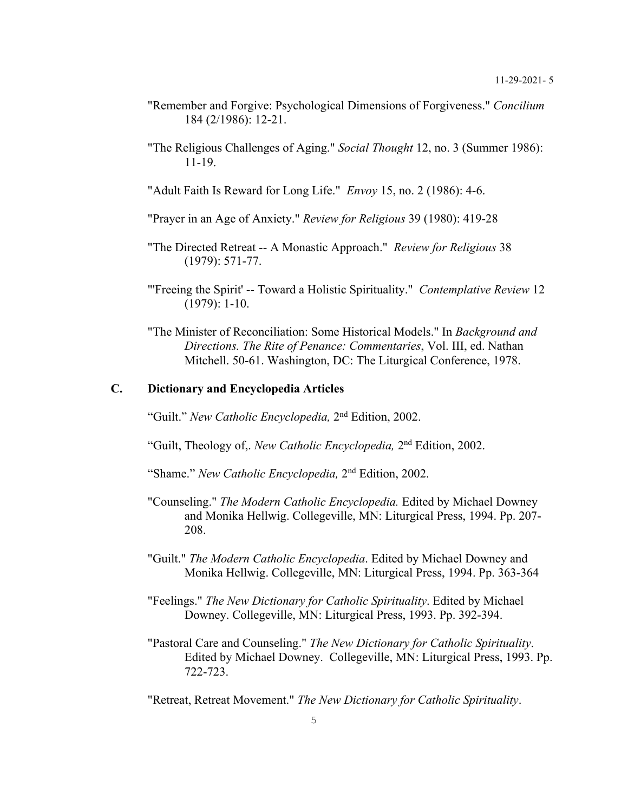- "Remember and Forgive: Psychological Dimensions of Forgiveness." *Concilium* 184 (2/1986): 12-21.
- "The Religious Challenges of Aging." *Social Thought* 12, no. 3 (Summer 1986): 11-19.

"Adult Faith Is Reward for Long Life." *Envoy* 15, no. 2 (1986): 4-6.

"Prayer in an Age of Anxiety." *Review for Religious* 39 (1980): 419-28

- "The Directed Retreat -- A Monastic Approach." *Review for Religious* 38 (1979): 571-77.
- "'Freeing the Spirit' -- Toward a Holistic Spirituality." *Contemplative Review* 12 (1979): 1-10.
- "The Minister of Reconciliation: Some Historical Models." In *Background and Directions. The Rite of Penance: Commentaries*, Vol. III, ed. Nathan Mitchell. 50-61. Washington, DC: The Liturgical Conference, 1978.

# **C. Dictionary and Encyclopedia Articles**

"Guilt." *New Catholic Encyclopedia,* 2nd Edition, 2002.

"Guilt, Theology of,. *New Catholic Encyclopedia,* 2nd Edition, 2002.

"Shame." *New Catholic Encyclopedia,* 2nd Edition, 2002.

- "Counseling." *The Modern Catholic Encyclopedia.* Edited by Michael Downey and Monika Hellwig. Collegeville, MN: Liturgical Press, 1994. Pp. 207- 208.
- "Guilt." *The Modern Catholic Encyclopedia*. Edited by Michael Downey and Monika Hellwig. Collegeville, MN: Liturgical Press, 1994. Pp. 363-364
- "Feelings." *The New Dictionary for Catholic Spirituality*. Edited by Michael Downey. Collegeville, MN: Liturgical Press, 1993. Pp. 392-394.
- "Pastoral Care and Counseling." *The New Dictionary for Catholic Spirituality*. Edited by Michael Downey. Collegeville, MN: Liturgical Press, 1993. Pp. 722-723.
- "Retreat, Retreat Movement." *The New Dictionary for Catholic Spirituality*.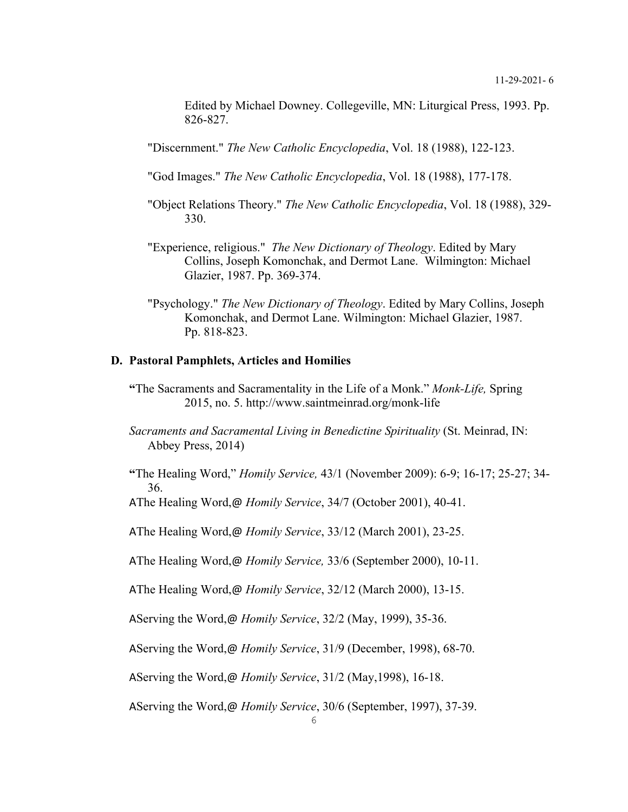Edited by Michael Downey. Collegeville, MN: Liturgical Press, 1993. Pp. 826-827.

"Discernment." *The New Catholic Encyclopedia*, Vol. 18 (1988), 122-123.

"God Images." *The New Catholic Encyclopedia*, Vol. 18 (1988), 177-178.

- "Object Relations Theory." *The New Catholic Encyclopedia*, Vol. 18 (1988), 329- 330.
- "Experience, religious." *The New Dictionary of Theology*. Edited by Mary Collins, Joseph Komonchak, and Dermot Lane. Wilmington: Michael Glazier, 1987. Pp. 369-374.
- "Psychology." *The New Dictionary of Theology*. Edited by Mary Collins, Joseph Komonchak, and Dermot Lane. Wilmington: Michael Glazier, 1987. Pp. 818-823.

# **D. Pastoral Pamphlets, Articles and Homilies**

- **"**The Sacraments and Sacramentality in the Life of a Monk." *Monk-Life,* Spring 2015, no. 5. http://www.saintmeinrad.org/monk-life
- *Sacraments and Sacramental Living in Benedictine Spirituality* (St. Meinrad, IN: Abbey Press, 2014)
- **"**The Healing Word," *Homily Service,* 43/1 (November 2009): 6-9; 16-17; 25-27; 34- 36.

AThe Healing Word,@ *Homily Service*, 34/7 (October 2001), 40-41.

AThe Healing Word,@ *Homily Service*, 33/12 (March 2001), 23-25.

AThe Healing Word,@ *Homily Service,* 33/6 (September 2000), 10-11.

AThe Healing Word,@ *Homily Service*, 32/12 (March 2000), 13-15.

AServing the Word,@ *Homily Service*, 32/2 (May, 1999), 35-36.

AServing the Word,@ *Homily Service*, 31/9 (December, 1998), 68-70.

AServing the Word,@ *Homily Service*, 31/2 (May,1998), 16-18.

AServing the Word,@ *Homily Service*, 30/6 (September, 1997), 37-39.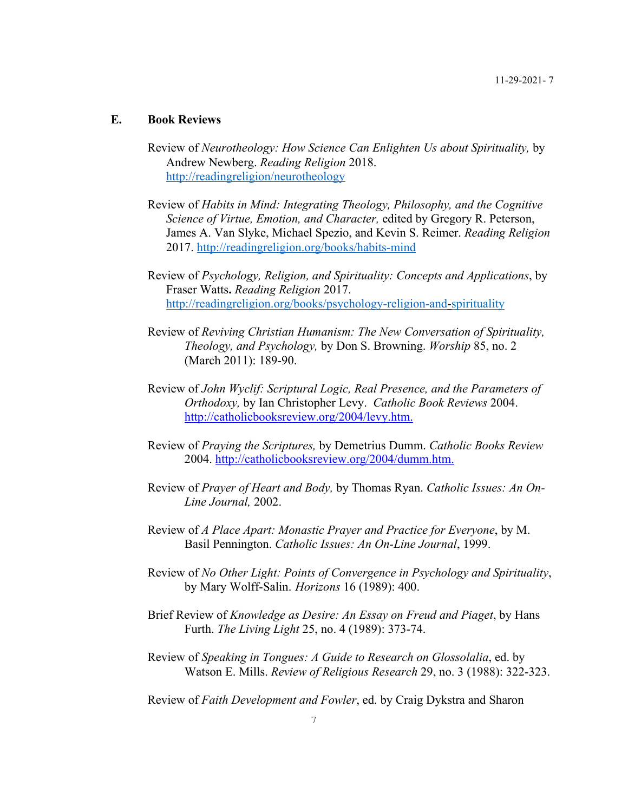# **E. Book Reviews**

- Review of *Neurotheology: How Science Can Enlighten Us about Spirituality,* by Andrew Newberg. *Reading Religion* 2018. http://readingreligion/neurotheology
- Review of *Habits in Mind: Integrating Theology, Philosophy, and the Cognitive Science of Virtue, Emotion, and Character,* edited by Gregory R. Peterson, James A. Van Slyke, Michael Spezio, and Kevin S. Reimer. *Reading Religion*  2017. http://readingreligion.org/books/habits-mind
- Review of *Psychology, Religion, and Spirituality: Concepts and Applications*, by Fraser Watts**.** *Reading Religion* 2017. http://readingreligion.org/books/psychology-religion-and-spirituality
- Review of *Reviving Christian Humanism: The New Conversation of Spirituality, Theology, and Psychology,* by Don S. Browning. *Worship* 85, no. 2 (March 2011): 189-90.
- Review of *John Wyclif: Scriptural Logic, Real Presence, and the Parameters of Orthodoxy,* by Ian Christopher Levy. *Catholic Book Reviews* 2004. http://catholicbooksreview.org/2004/levy.htm.
- Review of *Praying the Scriptures,* by Demetrius Dumm. *Catholic Books Review* 2004. http://catholicbooksreview.org/2004/dumm.htm.
- Review of *Prayer of Heart and Body,* by Thomas Ryan. *Catholic Issues: An On-Line Journal,* 2002.
- Review of *A Place Apart: Monastic Prayer and Practice for Everyone*, by M. Basil Pennington. *Catholic Issues: An On-Line Journal*, 1999.
- Review of *No Other Light: Points of Convergence in Psychology and Spirituality*, by Mary Wolff-Salin. *Horizons* 16 (1989): 400.
- Brief Review of *Knowledge as Desire: An Essay on Freud and Piaget*, by Hans Furth. *The Living Light* 25, no. 4 (1989): 373-74.
- Review of *Speaking in Tongues: A Guide to Research on Glossolalia*, ed. by Watson E. Mills. *Review of Religious Research* 29, no. 3 (1988): 322-323.
- Review of *Faith Development and Fowler*, ed. by Craig Dykstra and Sharon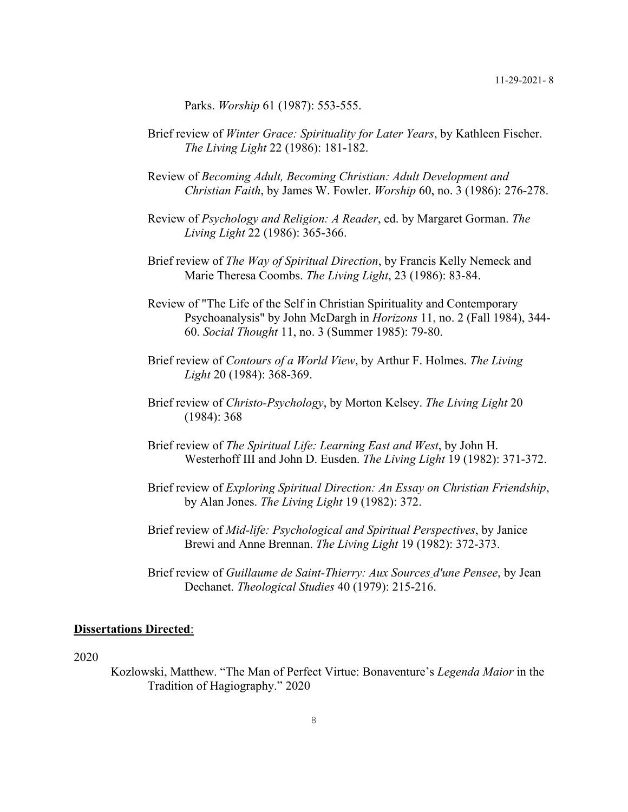Parks. *Worship* 61 (1987): 553-555.

- Brief review of *Winter Grace: Spirituality for Later Years*, by Kathleen Fischer. *The Living Light* 22 (1986): 181-182.
- Review of *Becoming Adult, Becoming Christian: Adult Development and Christian Faith*, by James W. Fowler. *Worship* 60, no. 3 (1986): 276-278.
- Review of *Psychology and Religion: A Reader*, ed. by Margaret Gorman. *The Living Light* 22 (1986): 365-366.
- Brief review of *The Way of Spiritual Direction*, by Francis Kelly Nemeck and Marie Theresa Coombs. *The Living Light*, 23 (1986): 83-84.
- Review of "The Life of the Self in Christian Spirituality and Contemporary Psychoanalysis" by John McDargh in *Horizons* 11, no. 2 (Fall 1984), 344- 60. *Social Thought* 11, no. 3 (Summer 1985): 79-80.
- Brief review of *Contours of a World View*, by Arthur F. Holmes. *The Living Light* 20 (1984): 368-369.
- Brief review of *Christo-Psychology*, by Morton Kelsey. *The Living Light* 20 (1984): 368
- Brief review of *The Spiritual Life: Learning East and West*, by John H. Westerhoff III and John D. Eusden. *The Living Light* 19 (1982): 371-372.
- Brief review of *Exploring Spiritual Direction: An Essay on Christian Friendship*, by Alan Jones. *The Living Light* 19 (1982): 372.
- Brief review of *Mid-life: Psychological and Spiritual Perspectives*, by Janice Brewi and Anne Brennan. *The Living Light* 19 (1982): 372-373.
- Brief review of *Guillaume de Saint-Thierry: Aux Sources d'une Pensee*, by Jean Dechanet. *Theological Studies* 40 (1979): 215-216.

## **Dissertations Directed**:

2020

Kozlowski, Matthew. "The Man of Perfect Virtue: Bonaventure's *Legenda Maior* in the Tradition of Hagiography." 2020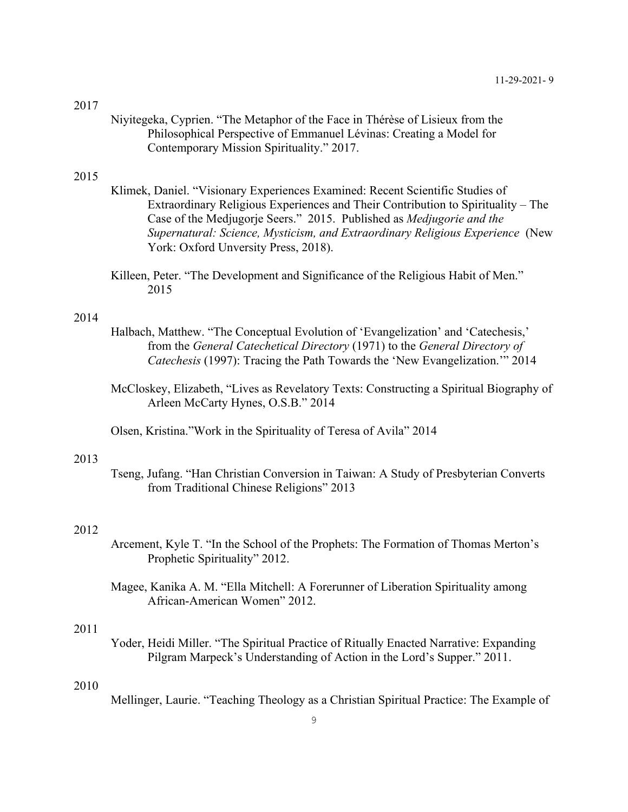#### 2017

Niyitegeka, Cyprien. "The Metaphor of the Face in Thérèse of Lisieux from the Philosophical Perspective of Emmanuel Lévinas: Creating a Model for Contemporary Mission Spirituality." 2017.

# 2015

- Klimek, Daniel. "Visionary Experiences Examined: Recent Scientific Studies of Extraordinary Religious Experiences and Their Contribution to Spirituality – The Case of the Medjugorje Seers." 2015. Published as *Medjugorie and the Supernatural: Science, Mysticism, and Extraordinary Religious Experience* (New York: Oxford Unversity Press, 2018).
- Killeen, Peter. "The Development and Significance of the Religious Habit of Men." 2015

# 2014

- Halbach, Matthew. "The Conceptual Evolution of 'Evangelization' and 'Catechesis,' from the *General Catechetical Directory* (1971) to the *General Directory of Catechesis* (1997): Tracing the Path Towards the 'New Evangelization.'" 2014
- McCloskey, Elizabeth, "Lives as Revelatory Texts: Constructing a Spiritual Biography of Arleen McCarty Hynes, O.S.B." 2014
- Olsen, Kristina."Work in the Spirituality of Teresa of Avila" 2014

#### 2013

Tseng, Jufang. "Han Christian Conversion in Taiwan: A Study of Presbyterian Converts from Traditional Chinese Religions" 2013

# 2012

- Arcement, Kyle T. "In the School of the Prophets: The Formation of Thomas Merton's Prophetic Spirituality" 2012.
- Magee, Kanika A. M. "Ella Mitchell: A Forerunner of Liberation Spirituality among African-American Women" 2012.

## 2011

Yoder, Heidi Miller. "The Spiritual Practice of Ritually Enacted Narrative: Expanding Pilgram Marpeck's Understanding of Action in the Lord's Supper." 2011.

#### 2010

Mellinger, Laurie. "Teaching Theology as a Christian Spiritual Practice: The Example of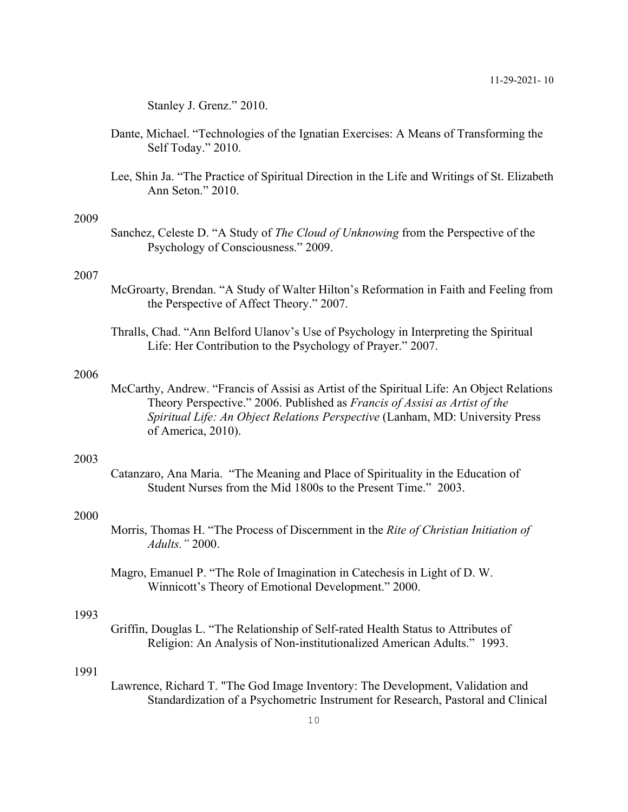Stanley J. Grenz." 2010.

- Dante, Michael. "Technologies of the Ignatian Exercises: A Means of Transforming the Self Today." 2010.
- Lee, Shin Ja. "The Practice of Spiritual Direction in the Life and Writings of St. Elizabeth Ann Seton." 2010.

#### 2009

Sanchez, Celeste D. "A Study of *The Cloud of Unknowing* from the Perspective of the Psychology of Consciousness." 2009.

### 2007

- McGroarty, Brendan. "A Study of Walter Hilton's Reformation in Faith and Feeling from the Perspective of Affect Theory." 2007.
- Thralls, Chad. "Ann Belford Ulanov's Use of Psychology in Interpreting the Spiritual Life: Her Contribution to the Psychology of Prayer." 2007.

### 2006

McCarthy, Andrew. "Francis of Assisi as Artist of the Spiritual Life: An Object Relations Theory Perspective." 2006. Published as *Francis of Assisi as Artist of the Spiritual Life: An Object Relations Perspective* (Lanham, MD: University Press of America, 2010).

# 2003

Catanzaro, Ana Maria. "The Meaning and Place of Spirituality in the Education of Student Nurses from the Mid 1800s to the Present Time." 2003.

# 2000

- Morris, Thomas H. "The Process of Discernment in the *Rite of Christian Initiation of Adults."* 2000.
- Magro, Emanuel P. "The Role of Imagination in Catechesis in Light of D. W. Winnicott's Theory of Emotional Development." 2000.

# 1993

Griffin, Douglas L. "The Relationship of Self-rated Health Status to Attributes of Religion: An Analysis of Non-institutionalized American Adults." 1993.

### 1991

Lawrence, Richard T. "The God Image Inventory: The Development, Validation and Standardization of a Psychometric Instrument for Research, Pastoral and Clinical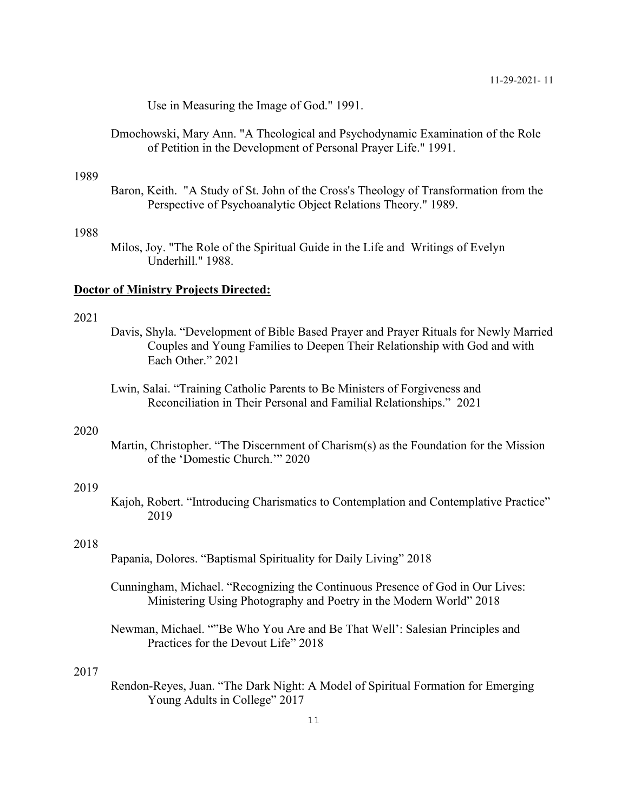Use in Measuring the Image of God." 1991.

Dmochowski, Mary Ann. "A Theological and Psychodynamic Examination of the Role of Petition in the Development of Personal Prayer Life." 1991.

## 1989

Baron, Keith. "A Study of St. John of the Cross's Theology of Transformation from the Perspective of Psychoanalytic Object Relations Theory." 1989.

# 1988

Milos, Joy. "The Role of the Spiritual Guide in the Life and Writings of Evelyn Underhill." 1988.

### **Doctor of Ministry Projects Directed:**

### 2021

- Davis, Shyla. "Development of Bible Based Prayer and Prayer Rituals for Newly Married Couples and Young Families to Deepen Their Relationship with God and with Each Other." 2021
- Lwin, Salai. "Training Catholic Parents to Be Ministers of Forgiveness and Reconciliation in Their Personal and Familial Relationships." 2021

#### 2020

Martin, Christopher. "The Discernment of Charism(s) as the Foundation for the Mission of the 'Domestic Church.'" 2020

# 2019

Kajoh, Robert. "Introducing Charismatics to Contemplation and Contemplative Practice" 2019

### 2018

- Papania, Dolores. "Baptismal Spirituality for Daily Living" 2018
- Cunningham, Michael. "Recognizing the Continuous Presence of God in Our Lives: Ministering Using Photography and Poetry in the Modern World" 2018
- Newman, Michael. ""Be Who You Are and Be That Well': Salesian Principles and Practices for the Devout Life" 2018

# 2017

Rendon-Reyes, Juan. "The Dark Night: A Model of Spiritual Formation for Emerging Young Adults in College" 2017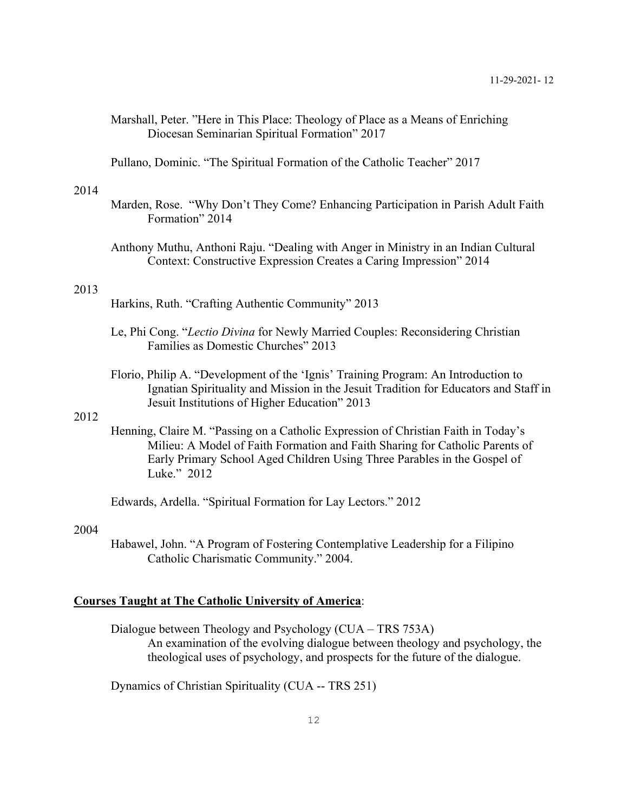- Marshall, Peter. "Here in This Place: Theology of Place as a Means of Enriching Diocesan Seminarian Spiritual Formation" 2017
- Pullano, Dominic. "The Spiritual Formation of the Catholic Teacher" 2017

#### 2014

- Marden, Rose. "Why Don't They Come? Enhancing Participation in Parish Adult Faith Formation" 2014
- Anthony Muthu, Anthoni Raju. "Dealing with Anger in Ministry in an Indian Cultural Context: Constructive Expression Creates a Caring Impression" 2014

#### 2013

Harkins, Ruth. "Crafting Authentic Community" 2013

- Le, Phi Cong. "*Lectio Divina* for Newly Married Couples: Reconsidering Christian Families as Domestic Churches" 2013
- Florio, Philip A. "Development of the 'Ignis' Training Program: An Introduction to Ignatian Spirituality and Mission in the Jesuit Tradition for Educators and Staff in Jesuit Institutions of Higher Education" 2013

# 2012

Henning, Claire M. "Passing on a Catholic Expression of Christian Faith in Today's Milieu: A Model of Faith Formation and Faith Sharing for Catholic Parents of Early Primary School Aged Children Using Three Parables in the Gospel of Luke." 2012

Edwards, Ardella. "Spiritual Formation for Lay Lectors." 2012

### 2004

Habawel, John. "A Program of Fostering Contemplative Leadership for a Filipino Catholic Charismatic Community." 2004.

#### **Courses Taught at The Catholic University of America**:

Dialogue between Theology and Psychology (CUA – TRS 753A) An examination of the evolving dialogue between theology and psychology, the theological uses of psychology, and prospects for the future of the dialogue.

Dynamics of Christian Spirituality (CUA -- TRS 251)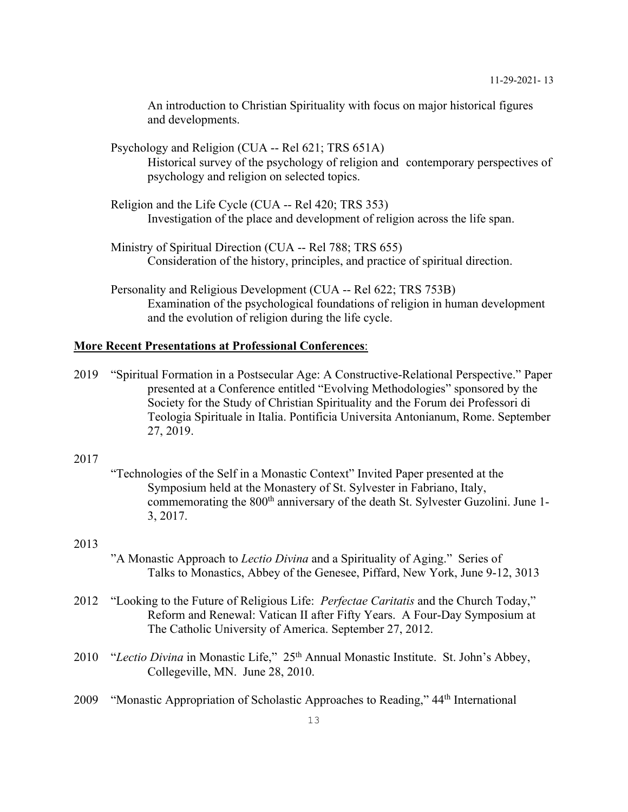An introduction to Christian Spirituality with focus on major historical figures and developments.

- Psychology and Religion (CUA -- Rel 621; TRS 651A) Historical survey of the psychology of religion and contemporary perspectives of psychology and religion on selected topics.
- Religion and the Life Cycle (CUA -- Rel 420; TRS 353) Investigation of the place and development of religion across the life span.
- Ministry of Spiritual Direction (CUA -- Rel 788; TRS 655) Consideration of the history, principles, and practice of spiritual direction.
- Personality and Religious Development (CUA -- Rel 622; TRS 753B) Examination of the psychological foundations of religion in human development and the evolution of religion during the life cycle.

# **More Recent Presentations at Professional Conferences**:

- 2019 "Spiritual Formation in a Postsecular Age: A Constructive-Relational Perspective." Paper presented at a Conference entitled "Evolving Methodologies" sponsored by the Society for the Study of Christian Spirituality and the Forum dei Professori di Teologia Spirituale in Italia. Pontificia Universita Antonianum, Rome. September 27, 2019.
- 2017
- "Technologies of the Self in a Monastic Context" Invited Paper presented at the Symposium held at the Monastery of St. Sylvester in Fabriano, Italy, commemorating the 800<sup>th</sup> anniversary of the death St. Sylvester Guzolini. June 1-3, 2017.

### 2013

- "A Monastic Approach to *Lectio Divina* and a Spirituality of Aging." Series of Talks to Monastics, Abbey of the Genesee, Piffard, New York, June 9-12, 3013
- 2012 "Looking to the Future of Religious Life: *Perfectae Caritatis* and the Church Today," Reform and Renewal: Vatican II after Fifty Years. A Four-Day Symposium at The Catholic University of America. September 27, 2012.
- 2010 "Lectio Divina in Monastic Life," 25<sup>th</sup> Annual Monastic Institute. St. John's Abbey, Collegeville, MN. June 28, 2010.
- 2009 "Monastic Appropriation of Scholastic Approaches to Reading," 44th International